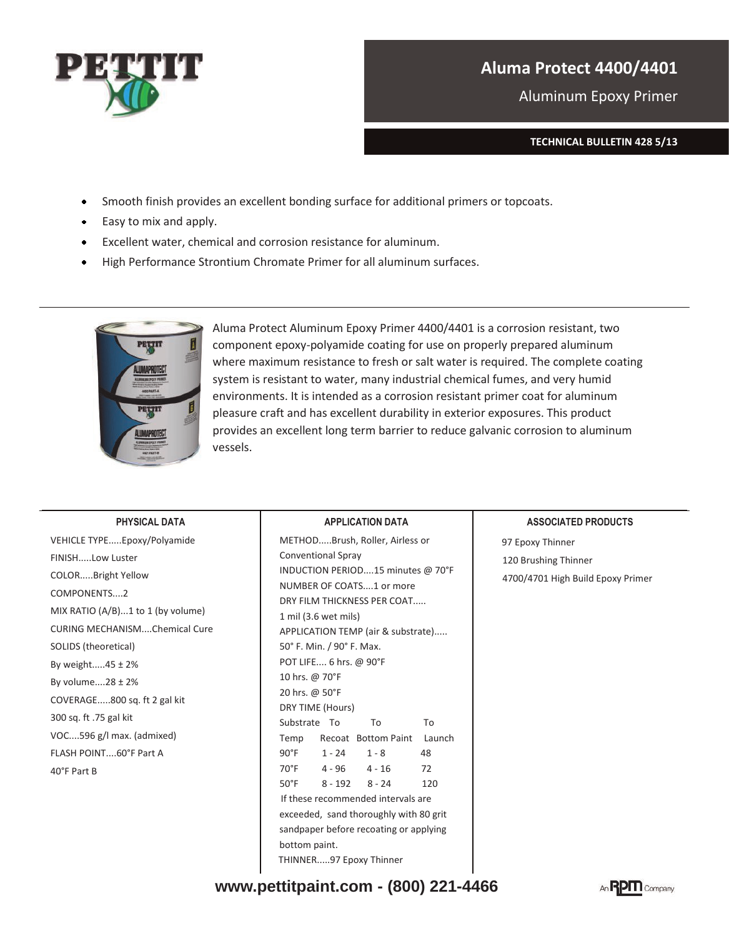

# **Aluma Protect 4400/4401**

Aluminum Epoxy Primer

**TECHNICAL BULLETIN 428 5/13** 

- Smooth finish provides an excellent bonding surface for additional primers or topcoats.
- Easy to mix and apply.  $\bullet$
- Excellent water, chemical and corrosion resistance for aluminum.  $\bullet$
- High Performance Strontium Chromate Primer for all aluminum surfaces.



Aluma Protect Aluminum Epoxy Primer 4400/4401 is a corrosion resistant, two component epoxy-polyamide coating for use on properly prepared aluminum where maximum resistance to fresh or salt water is required. The complete coating system is resistant to water, many industrial chemical fumes, and very humid environments. It is intended as a corrosion resistant primer coat for aluminum pleasure craft and has excellent durability in exterior exposures. This product provides an excellent long term barrier to reduce galvanic corrosion to aluminum vessels.

#### **PHYSICAL DATA**

VEHICLE TYPE.....Epoxy/Polyamide FINISH.....Low Luster COLOR.....Bright Yellow COMPONENTS....2 MIX RATIO (A/B)...1 to 1 (by volume) CURING MECHANISM....Chemical Cure SOLIDS (theoretical) By weight.....45 ± 2% By volume....28 ± 2% COVERAGE.....800 sq. ft 2 gal kit 300 sq. ft .75 gal kit VOC....596 g/l max. (admixed) FLASH POINT....60°F Part A 40°F Part B

### **APPLICATION DATA**

METHOD.....Brush, Roller, Airless or Conventional Spray INDUCTION PERIOD....15 minutes @ 70°F NUMBER OF COATS....1 or more DRY FILM THICKNESS PER COAT..... 1 mil (3.6 wet mils) APPLICATION TEMP (air & substrate)..... 50° F. Min. / 90° F. Max. POT LIFE.... 6 hrs. @ 90°F 10 hrs. @ 70°F 20 hrs. @ 50°F DRY TIME (Hours) Substrate To To To Temp Recoat Bottom Paint Launch 90°F 1 - 24 1 - 8 48 70°F 4 - 96 4 - 16 72 50°F 8 - 192 8 - 24 120 If these recommended intervals are exceeded, sand thoroughly with 80 grit sandpaper before recoating or applying bottom paint. THINNER.....97 Epoxy Thinner

### **ASSOCIATED PRODUCTS**

97 Epoxy Thinner 120 Brushing Thinner 4700/4701 High Build Epoxy Primer

**www.pettitpaint.com - (800) 221-4466**